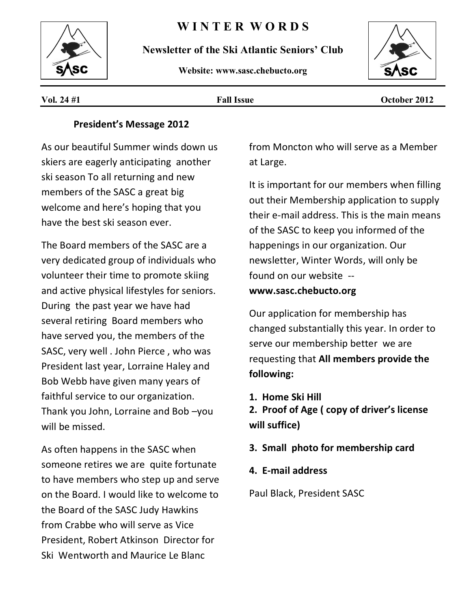# **W I N T E R W O R D S**



**Newsletter of the Ski Atlantic Seniors' Club** 

**Website: www.sasc.chebucto.org**



**Vol. 24 #1 Fall Issue October 2012**

# **President's Message 2012**

As our beautiful Summer winds down us skiers are eagerly anticipating another ski season To all returning and new members of the SASC a great big welcome and here's hoping that you have the best ski season ever.

The Board members of the SASC are a very dedicated group of individuals who volunteer their time to promote skiing and active physical lifestyles for seniors. During the past year we have had several retiring Board members who have served you, the members of the SASC, very well . John Pierce , who was President last year, Lorraine Haley and Bob Webb have given many years of faithful service to our organization. Thank you John, Lorraine and Bob –you will be missed.

As often happens in the SASC when someone retires we are quite fortunate to have members who step up and serve on the Board. I would like to welcome to the Board of the SASC Judy Hawkins from Crabbe who will serve as Vice President, Robert Atkinson Director for Ski Wentworth and Maurice Le Blanc

from Moncton who will serve as a Member at Large.

It is important for our members when filling out their Membership application to supply their e-mail address. This is the main means of the SASC to keep you informed of the happenings in our organization. Our newsletter, Winter Words, will only be found on our website - **www.sasc.chebucto.org** 

Our application for membership has changed substantially this year. In order to serve our membership better we are requesting that **All members provide the following:** 

**1. Home Ski Hill** 

**2. Proof of Age ( copy of driver's license will suffice)** 

- **3. Small photo for membership card**
- **4. E-mail address**

Paul Black, President SASC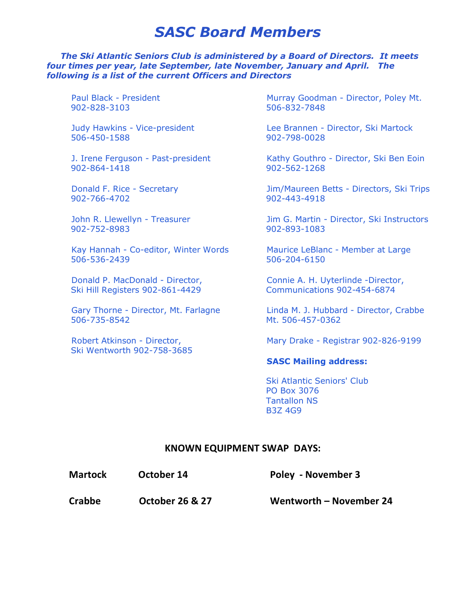# *SASC Board Members*

#### *The Ski Atlantic Seniors Club is administered by a Board of Directors. It meets four times per year, late September, late November, January and April. The following is a list of the current Officers and Directors*

Paul Black - President 902-828-3103

Judy Hawkins - Vice-president 506-450-1588

J. Irene Ferguson - Past-president 902-864-1418

Donald F. Rice - Secretary 902-766-4702

John R. Llewellyn - Treasurer 902-752-8983

Kay Hannah - Co-editor, Winter Words 506-536-2439

Donald P. MacDonald - Director, Ski Hill Registers 902-861-4429

Gary Thorne - Director, Mt. Farlagne 506-735-8542

Robert Atkinson - Director, Ski Wentworth 902-758-3685 Murray Goodman - Director, Poley Mt. 506-832-7848

Lee Brannen - Director, Ski Martock 902-798-0028

Kathy Gouthro - Director, Ski Ben Eoin 902-562-1268

Jim/Maureen Betts - Directors, Ski Trips 902-443-4918

Jim G. Martin - Director, Ski Instructors 902-893-1083

Maurice LeBlanc - Member at Large 506-204-6150

Connie A. H. Uyterlinde -Director, Communications 902-454-6874

Linda M. J. Hubbard - Director, Crabbe Mt. 506-457-0362

Mary Drake - Registrar 902-826-9199

#### **SASC Mailing address:**

 Ski Atlantic Seniors' Club PO Box 3076 Tantallon NS B3Z 4G9

### **KNOWN EQUIPMENT SWAP DAYS:**

| October 14<br><b>Martock</b> |
|------------------------------|
|------------------------------|

**Poley - November 3** 

**Crabbe October 26 & 27 Wentworth – November 24**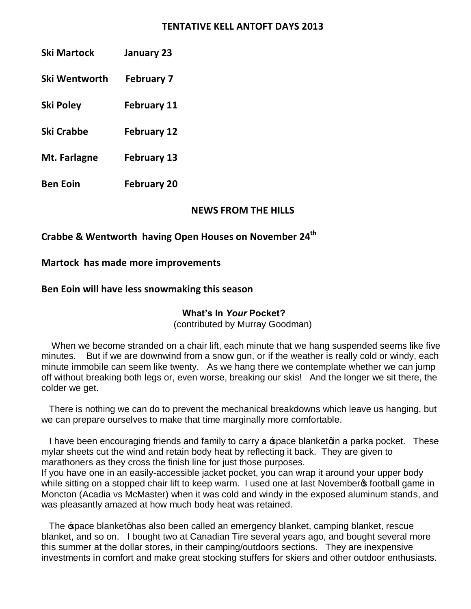### **TENTATIVE KELL ANTOFT DAYS 2013**

| <b>Ski Martock</b> | January 23 |
|--------------------|------------|
|                    |            |

**Ski Wentworth February 7** 

**Ski Poley February 11** 

**Ski Crabbe February 12** 

**Mt. Farlagne February 13** 

**Ben Eoin February 20** 

# **NEWS FROM THE HILLS**

# **Crabbe & Wentworth having Open Houses on November 24th**

# **Martock has made more improvements**

# **Ben Eoin will have less snowmaking this season**

# **What's In** *Your* **Pocket?**

(contributed by Murray Goodman)

 When we become stranded on a chair lift, each minute that we hang suspended seems like five minutes. But if we are downwind from a snow gun, or if the weather is really cold or windy, each minute immobile can seem like twenty. As we hang there we contemplate whether we can jump off without breaking both legs or, even worse, breaking our skis! And the longer we sit there, the colder we get.

 There is nothing we can do to prevent the mechanical breakdowns which leave us hanging, but we can prepare ourselves to make that time marginally more comfortable.

I have been encouraging friends and family to carry a space blanketgin a parka pocket. These mylar sheets cut the wind and retain body heat by reflecting it back. They are given to marathoners as they cross the finish line for just those purposes. If you have one in an easily-accessible jacket pocket, you can wrap it around your upper body

while sitting on a stopped chair lift to keep warm. I used one at last November tootball game in Moncton (Acadia vs McMaster) when it was cold and windy in the exposed aluminum stands, and was pleasantly amazed at how much body heat was retained.

The space blanketghas also been called an emergency blanket, camping blanket, rescue blanket, and so on. I bought two at Canadian Tire several years ago, and bought several more this summer at the dollar stores, in their camping/outdoors sections. They are inexpensive investments in comfort and make great stocking stuffers for skiers and other outdoor enthusiasts.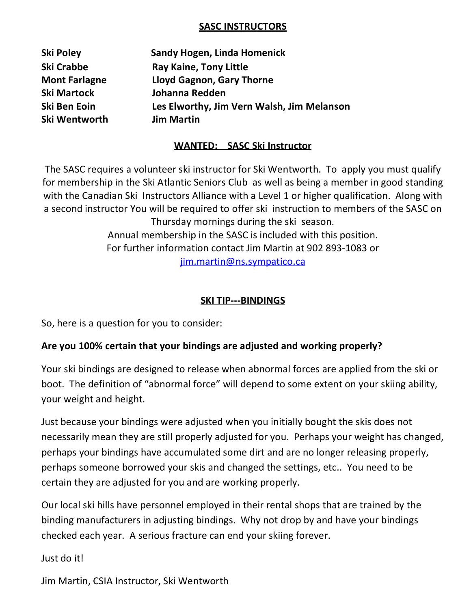# **SASC INSTRUCTORS**

**Ski Wentworth Jim Martin** 

**Ski Poley Sandy Hogen, Linda Homenick Ski Crabbe Ray Kaine, Tony Little Mont Farlagne Lloyd Gagnon, Gary Thorne Ski Martock Johanna Redden Ski Ben Eoin Les Elworthy, Jim Vern Walsh, Jim Melanson** 

# **WANTED: SASC Ski Instructor**

The SASC requires a volunteer ski instructor for Ski Wentworth. To apply you must qualify for membership in the Ski Atlantic Seniors Club as well as being a member in good standing with the Canadian Ski Instructors Alliance with a Level 1 or higher qualification. Along with a second instructor You will be required to offer ski instruction to members of the SASC on Thursday mornings during the ski season. Annual membership in the SASC is included with this position. For further information contact Jim Martin at 902 893-1083 or [jim.martin@ns.sympatico.ca](mailto:jim.martin@ns.sympatico.ca)

# **SKI TIP---BINDINGS**

So, here is a question for you to consider:

# **Are you 100% certain that your bindings are adjusted and working properly?**

Your ski bindings are designed to release when abnormal forces are applied from the ski or boot. The definition of "abnormal force" will depend to some extent on your skiing ability, your weight and height.

Just because your bindings were adjusted when you initially bought the skis does not necessarily mean they are still properly adjusted for you. Perhaps your weight has changed, perhaps your bindings have accumulated some dirt and are no longer releasing properly, perhaps someone borrowed your skis and changed the settings, etc.. You need to be certain they are adjusted for you and are working properly.

Our local ski hills have personnel employed in their rental shops that are trained by the binding manufacturers in adjusting bindings. Why not drop by and have your bindings checked each year. A serious fracture can end your skiing forever.

Just do it!

Jim Martin, CSIA Instructor, Ski Wentworth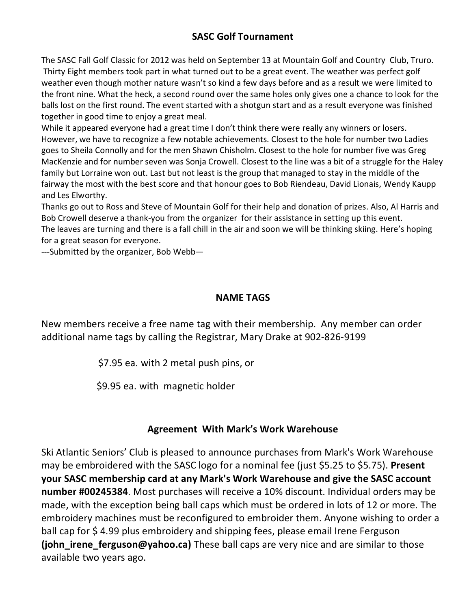# **SASC Golf Tournament**

The SASC Fall Golf Classic for 2012 was held on September 13 at Mountain Golf and Country Club, Truro. Thirty Eight members took part in what turned out to be a great event. The weather was perfect golf weather even though mother nature wasn't so kind a few days before and as a result we were limited to the front nine. What the heck, a second round over the same holes only gives one a chance to look for the balls lost on the first round. The event started with a shotgun start and as a result everyone was finished together in good time to enjoy a great meal.

While it appeared everyone had a great time I don't think there were really any winners or losers. However, we have to recognize a few notable achievements. Closest to the hole for number two Ladies goes to Sheila Connolly and for the men Shawn Chisholm. Closest to the hole for number five was Greg MacKenzie and for number seven was Sonja Crowell. Closest to the line was a bit of a struggle for the Haley family but Lorraine won out. Last but not least is the group that managed to stay in the middle of the fairway the most with the best score and that honour goes to Bob Riendeau, David Lionais, Wendy Kaupp and Les Elworthy.

Thanks go out to Ross and Steve of Mountain Golf for their help and donation of prizes. Also, Al Harris and Bob Crowell deserve a thank-you from the organizer for their assistance in setting up this event. The leaves are turning and there is a fall chill in the air and soon we will be thinking skiing. Here's hoping for a great season for everyone.

---Submitted by the organizer, Bob Webb—

# **NAME TAGS**

New members receive a free name tag with their membership. Any member can order additional name tags by calling the Registrar, Mary Drake at 902-826-9199

\$7.95 ea. with 2 metal push pins, or

\$9.95 ea. with magnetic holder

# **Agreement With Mark's Work Warehouse**

Ski Atlantic Seniors' Club is pleased to announce purchases from Mark's Work Warehouse may be embroidered with the SASC logo for a nominal fee (just \$5.25 to \$5.75). **Present your SASC membership card at any Mark's Work Warehouse and give the SASC account number #00245384**. Most purchases will receive a 10% discount. Individual orders may be made, with the exception being ball caps which must be ordered in lots of 12 or more. The embroidery machines must be reconfigured to embroider them. Anyone wishing to order a ball cap for \$4.99 plus embroidery and shipping fees, please email Irene Ferguson **(john\_irene\_ferguson@yahoo.ca)** These ball caps are very nice and are similar to those available two years ago.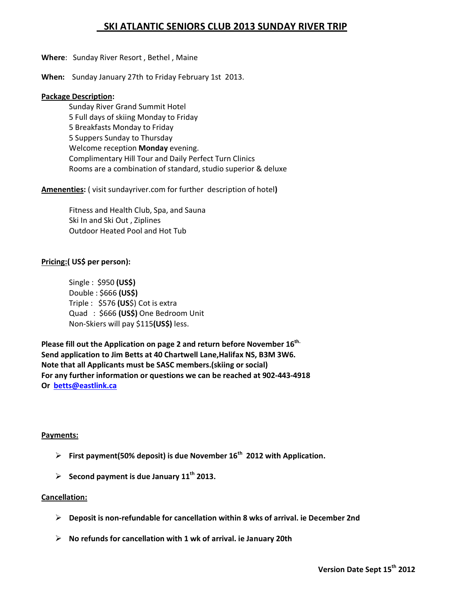# **SKI ATLANTIC SENIORS CLUB 2013 SUNDAY RIVER TRIP**

#### **Where**: Sunday River Resort , Bethel , Maine

**When:** Sunday January 27th to Friday February 1st 2013.

#### **Package Description:**

Sunday River Grand Summit Hotel 5 Full days of skiing Monday to Friday 5 Breakfasts Monday to Friday 5 Suppers Sunday to Thursday Welcome reception **Monday** evening. Complimentary Hill Tour and Daily Perfect Turn Clinics Rooms are a combination of standard, studio superior & deluxe

**Amenenties:** ( visit sundayriver.com for further description of hotel**)** 

Fitness and Health Club, Spa, and Sauna Ski In and Ski Out , Ziplines Outdoor Heated Pool and Hot Tub

#### **Pricing:( US\$ per person):**

Single : \$950 **(US\$)**  Double : \$666 **(US\$)** Triple : \$576 **(US**\$) Cot is extra Quad : \$666 **(US\$)** One Bedroom Unit Non-Skiers will pay \$115**(US\$)** less.

Please fill out the Application on page 2 and return before November 16<sup>th.</sup> **Send application to Jim Betts at 40 Chartwell Lane,Halifax NS, B3M 3W6. Note that all Applicants must be SASC members.(skiing or social) For any further information or questions we can be reached at 902-443-4918 Or [betts@eastlink.ca](mailto:betts@eastlink.ca)**

#### **Payments:**

- ÿ **First payment(50% deposit) is due November 16th 2012 with Application.**
- $\triangleright$  Second payment is due January 11<sup>th</sup> 2013.

#### **Cancellation:**

- ÿ **Deposit is non-refundable for cancellation within 8 wks of arrival. ie December 2nd**
- ÿ **No refunds for cancellation with 1 wk of arrival. ie January 20th**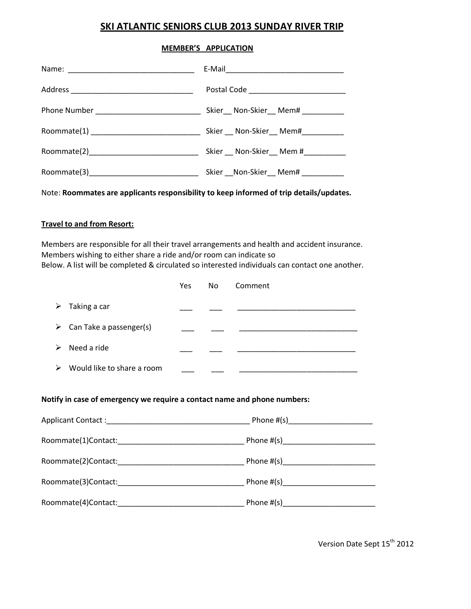# **SKI ATLANTIC SENIORS CLUB 2013 SUNDAY RIVER TRIP**

#### **MEMBER'S APPLICATION**

|                                               | Skier__ Non-Skier__ Mem# _________ |
|-----------------------------------------------|------------------------------------|
| Roommate(1) _________________________________ | Skier Non-Skier Mem#               |
|                                               | Skier Non-Skier Mem #              |
|                                               | Skier Non-Skier Mem#               |

Note: **Roommates are applicants responsibility to keep informed of trip details/updates.** 

#### **Travel to and from Resort:**

Members are responsible for all their travel arrangements and health and accident insurance. Members wishing to either share a ride and/or room can indicate so Below. A list will be completed & circulated so interested individuals can contact one another.

|                                          | <b>Yes</b> | No. | Comment |
|------------------------------------------|------------|-----|---------|
| Taking a car<br>➤                        |            |     |         |
| $\triangleright$ Can Take a passenger(s) |            |     |         |
| Need a ride<br>⋗                         |            |     |         |
| Would like to share a room<br>⋗          |            |     |         |

#### **Notify in case of emergency we require a contact name and phone numbers:**

| Applicant Contact: Applicant Contact:                                                                                                                                                                                          |  |
|--------------------------------------------------------------------------------------------------------------------------------------------------------------------------------------------------------------------------------|--|
|                                                                                                                                                                                                                                |  |
|                                                                                                                                                                                                                                |  |
| Roommate(3)Contact: National Contract of the Contract of the Contract of the Contract of the Contract of the Contract of the Contract of the Contract of the Contract of the Contract of the Contract of the Contract of the C |  |
| Roommate(4)Contact: National Section of the Section of the Section of the Section of the Section of the Section of the Section of the Section of the Section of the Section of the Section of the Section of the Section of th |  |

Version Date Sept 15<sup>th</sup> 2012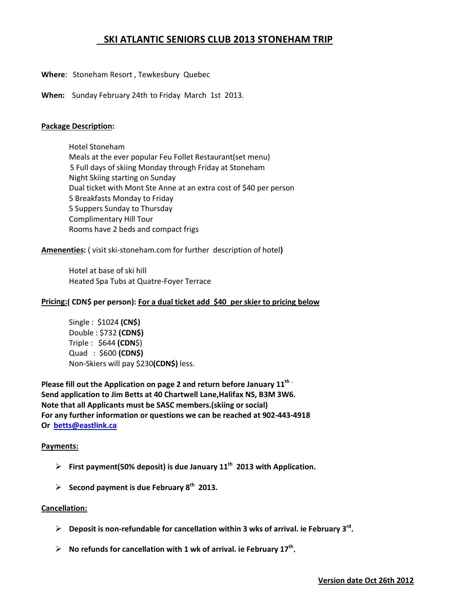# **SKI ATLANTIC SENIORS CLUB 2013 STONEHAM TRIP**

- **Where**: Stoneham Resort , Tewkesbury Quebec
- **When:** Sunday February 24th to Friday March 1st 2013.

#### **Package Description:**

Hotel Stoneham Meals at the ever popular Feu Follet Restaurant(set menu) 5 Full days of skiing Monday through Friday at Stoneham Night Skiing starting on Sunday Dual ticket with Mont Ste Anne at an extra cost of \$40 per person 5 Breakfasts Monday to Friday 5 Suppers Sunday to Thursday Complimentary Hill Tour Rooms have 2 beds and compact frigs

#### **Amenenties:** ( visit ski-stoneham.com for further description of hotel**)**

 Hotel at base of ski hill Heated Spa Tubs at Quatre-Foyer Terrace

#### **Pricing:( CDN\$ per person): For a dual ticket add \$40 per skier to pricing below**

Single : \$1024 **(CN\$)**  Double : \$732 **(CDN\$)** Triple : \$644 **(CDN**\$) Quad : \$600 **(CDN\$)**  Non-Skiers will pay \$230**(CDN\$)** less.

Please fill out the Application on page 2 and return before January 11<sup>th</sup> · **Send application to Jim Betts at 40 Chartwell Lane,Halifax NS, B3M 3W6. Note that all Applicants must be SASC members.(skiing or social) For any further information or questions we can be reached at 902-443-4918 Or [betts@eastlink.ca](mailto:betts@eastlink.ca)**

#### **Payments:**

- $\triangleright$  First payment(50% deposit) is due January 11<sup>th</sup> 2013 with Application.
- $\geq$  Second payment is due February 8<sup>th</sup> 2013.

#### **Cancellation:**

- ÿ **Deposit is non-refundable for cancellation within 3 wks of arrival. ie February 3rd.**
- $\triangleright$  No refunds for cancellation with 1 wk of arrival. ie February 17<sup>th</sup>.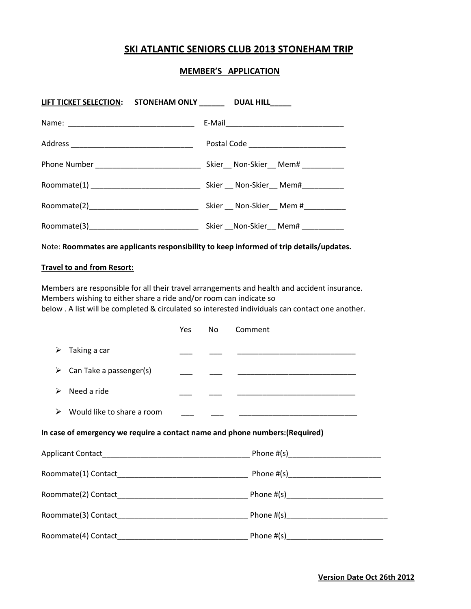### **SKI ATLANTIC SENIORS CLUB 2013 STONEHAM TRIP**

#### **MEMBER'S APPLICATION**

| LIFT TICKET SELECTION: STONEHAM ONLY ________ DUAL HILL_____ |                                       |
|--------------------------------------------------------------|---------------------------------------|
|                                                              |                                       |
|                                                              |                                       |
| Phone Number _______________________________                 | Skier__ Non-Skier__ Mem# _________    |
|                                                              |                                       |
|                                                              | Skier __ Non-Skier __ Mem #__________ |
|                                                              | Skier __ Non-Skier __ Mem# _________  |

Note: **Roommates are applicants responsibility to keep informed of trip details/updates.** 

#### **Travel to and from Resort:**

Members are responsible for all their travel arrangements and health and accident insurance. Members wishing to either share a ride and/or room can indicate so below . A list will be completed & circulated so interested individuals can contact one another.

|   |                                                                              | <b>Yes</b> | No | Comment |
|---|------------------------------------------------------------------------------|------------|----|---------|
| ≻ | Taking a car                                                                 |            |    |         |
| ➤ | Can Take a passenger(s)                                                      |            |    |         |
| ➤ | Need a ride                                                                  |            |    |         |
| ➤ | Would like to share a room                                                   |            |    |         |
|   | In case of emergency we require a contact name and phone numbers: (Required) |            |    |         |
|   |                                                                              |            |    |         |
|   |                                                                              |            |    |         |
|   |                                                                              |            |    |         |
|   |                                                                              |            |    |         |
|   |                                                                              |            |    |         |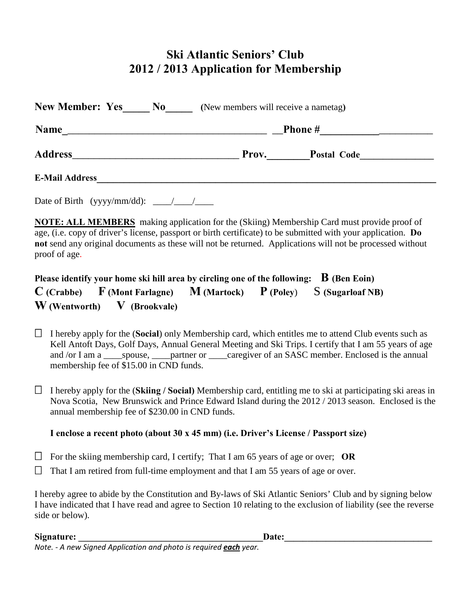# **Ski Atlantic Seniors' Club 2012 / 2013 Application for Membership**

| Name           | Phone #<br>the contract of the contract of the contract of                                                                                            |
|----------------|-------------------------------------------------------------------------------------------------------------------------------------------------------|
| <b>Address</b> | <b>Postal Code</b><br>Prov.<br><u> 1980 - Jan Barnett, mars and de finland and de finland and de finland and de finland and de finland and de fin</u> |

Date of Birth (yyyy/mm/dd):  $\frac{\sqrt{2}}{2}$ 

**NOTE: ALL MEMBERS** making application for the (Skiing) Membership Card must provide proof of age, (i.e. copy of driver's license, passport or birth certificate) to be submitted with your application. **Do not** send any original documents as these will not be returned. Applications will not be processed without proof of age.

# **Please identify your home ski hill area by circling one of the following: B (Ben Eoin) C (Crabbe) F (Mont Farlagne) M (Martock) P (Poley**) S **(Sugarloaf NB) W (Wentworth) V (Brookvale)**

 $\Box$  I hereby apply for the (**Social**) only Membership card, which entitles me to attend Club events such as Kell Antoft Days, Golf Days, Annual General Meeting and Ski Trips. I certify that I am 55 years of age and /or I am a \_\_\_\_\_spouse, \_\_\_\_\_partner or \_\_\_\_caregiver of an SASC member. Enclosed is the annual membership fee of \$15.00 in CND funds.

I hereby apply for the (**Skiing / Social**) Membership card, entitling me to ski at participating ski areas in Nova Scotia, New Brunswick and Prince Edward Island during the 2012 / 2013 season. Enclosed is the annual membership fee of \$230.00 in CND funds.

# **I enclose a recent photo (about 30 x 45 mm) (i.e. Driver's License / Passport size)**

For the skiing membership card, I certify; That I am 65 years of age or over; **OR** 

 $\Box$  That I am retired from full-time employment and that I am 55 years of age or over.

I hereby agree to abide by the Constitution and By-laws of Ski Atlantic Seniors' Club and by signing below I have indicated that I have read and agree to Section 10 relating to the exclusion of liability (see the reverse side or below).

### **Signature: \_\_\_\_\_\_\_\_\_\_\_\_\_\_\_\_\_\_\_\_\_\_\_\_\_\_\_\_\_\_\_\_\_\_\_\_\_\_\_\_Date:\_\_\_\_\_\_\_\_\_\_\_\_\_\_\_\_\_\_\_\_\_\_\_\_\_\_\_\_\_\_\_\_**

*Note. - A new Signed Application and photo is required each year.*